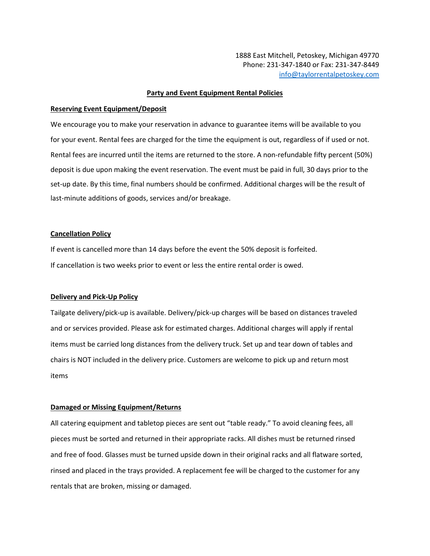1888 East Mitchell, Petoskey, Michigan 49770 Phone: 231-347-1840 or Fax: 231-347-8449 [info@taylorrentalpetoskey.com](mailto:info@taylorrentalpetoskey.com)

#### **Party and Event Equipment Rental Policies**

#### **Reserving Event Equipment/Deposit**

We encourage you to make your reservation in advance to guarantee items will be available to you for your event. Rental fees are charged for the time the equipment is out, regardless of if used or not. Rental fees are incurred until the items are returned to the store. A non-refundable fifty percent (50%) deposit is due upon making the event reservation. The event must be paid in full, 30 days prior to the set-up date. By this time, final numbers should be confirmed. Additional charges will be the result of last-minute additions of goods, services and/or breakage.

# **Cancellation Policy**

If event is cancelled more than 14 days before the event the 50% deposit is forfeited. If cancellation is two weeks prior to event or less the entire rental order is owed.

#### **Delivery and Pick-Up Policy**

Tailgate delivery/pick-up is available. Delivery/pick-up charges will be based on distances traveled and or services provided. Please ask for estimated charges. Additional charges will apply if rental items must be carried long distances from the delivery truck. Set up and tear down of tables and chairs is NOT included in the delivery price. Customers are welcome to pick up and return most items

# **Damaged or Missing Equipment/Returns**

All catering equipment and tabletop pieces are sent out "table ready." To avoid cleaning fees, all pieces must be sorted and returned in their appropriate racks. All dishes must be returned rinsed and free of food. Glasses must be turned upside down in their original racks and all flatware sorted, rinsed and placed in the trays provided. A replacement fee will be charged to the customer for any rentals that are broken, missing or damaged.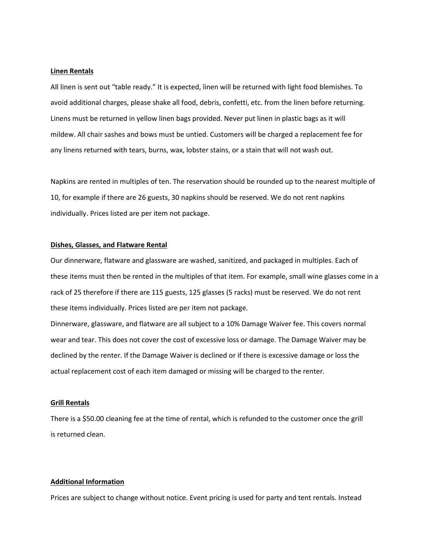# **Linen Rentals**

All linen is sent out "table ready." It is expected, linen will be returned with light food blemishes. To avoid additional charges, please shake all food, debris, confetti, etc. from the linen before returning. Linens must be returned in yellow linen bags provided. Never put linen in plastic bags as it will mildew. All chair sashes and bows must be untied. Customers will be charged a replacement fee for any linens returned with tears, burns, wax, lobster stains, or a stain that will not wash out.

Napkins are rented in multiples of ten. The reservation should be rounded up to the nearest multiple of 10, for example if there are 26 guests, 30 napkins should be reserved. We do not rent napkins individually. Prices listed are per item not package.

# **Dishes, Glasses, and Flatware Rental**

Our dinnerware, flatware and glassware are washed, sanitized, and packaged in multiples. Each of these items must then be rented in the multiples of that item. For example, small wine glasses come in a rack of 25 therefore if there are 115 guests, 125 glasses (5 racks) must be reserved. We do not rent these items individually. Prices listed are per item not package.

Dinnerware, glassware, and flatware are all subject to a 10% Damage Waiver fee. This covers normal wear and tear. This does not cover the cost of excessive loss or damage. The Damage Waiver may be declined by the renter. If the Damage Waiver is declined or if there is excessive damage or loss the actual replacement cost of each item damaged or missing will be charged to the renter.

# **Grill Rentals**

There is a \$50.00 cleaning fee at the time of rental, which is refunded to the customer once the grill is returned clean.

#### **Additional Information**

Prices are subject to change without notice. Event pricing is used for party and tent rentals. Instead